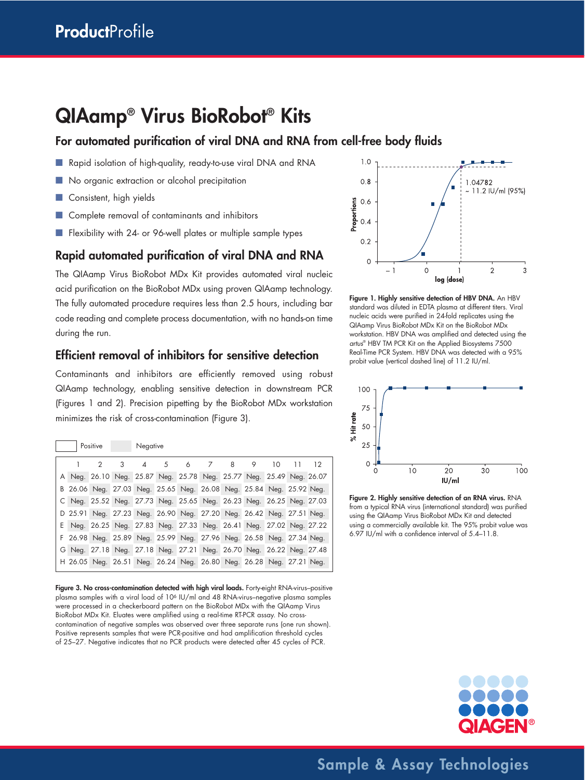# **QIAamp® Virus BioRobot® Kits**

# **For automated purification of viral DNA and RNA from cell-free body fluids**

- Rapid isolation of high-quality, ready-to-use viral DNA and RNA
- No organic extraction or alcohol precipitation
- Consistent, high yields
- Complete removal of contaminants and inhibitors
- Flexibility with 24- or 96-well plates or multiple sample types

# **Rapid automated purification of viral DNA and RNA**

The QIAamp Virus BioRobot MDx Kit provides automated viral nucleic acid purification on the BioRobot MDx using proven QIAamp technology. The fully automated procedure requires less than 2.5 hours, including bar code reading and complete process documentation, with no hands-on time during the run.

# **Efficient removal of inhibitors for sensitive detection**

Contaminants and inhibitors are efficiently removed using robust QIAamp technology, enabling sensitive detection in downstream PCR (Figures 1 and 2). Precision pipetting by the BioRobot MDx workstation minimizes the risk of cross-contamination (Figure 3).

| Positive |   |   | Negative |    |   |                                                                     |   |   |    |    |
|----------|---|---|----------|----|---|---------------------------------------------------------------------|---|---|----|----|
|          | 2 | 3 | Δ        | .5 | 6 | 7                                                                   | 8 | 9 | 10 | 12 |
|          |   |   |          |    |   | A Neg. 26.10 Neg. 25.87 Neg. 25.78 Neg. 25.77 Neg. 25.49 Neg. 26.07 |   |   |    |    |
|          |   |   |          |    |   | B 26.06 Neg. 27.03 Neg. 25.65 Neg. 26.08 Neg. 25.84 Neg. 25.92 Neg. |   |   |    |    |
|          |   |   |          |    |   | C Neg. 25.52 Neg. 27.73 Neg. 25.65 Neg. 26.23 Neg. 26.25 Neg. 27.03 |   |   |    |    |
|          |   |   |          |    |   | D 25.91 Neg. 27.23 Neg. 26.90 Neg. 27.20 Neg. 26.42 Neg. 27.51 Neg. |   |   |    |    |
|          |   |   |          |    |   | E Neg. 26.25 Neg. 27.83 Neg. 27.33 Neg. 26.41 Neg. 27.02 Neg. 27.22 |   |   |    |    |
|          |   |   |          |    |   | F 26.98 Neg. 25.89 Neg. 25.99 Neg. 27.96 Neg. 26.58 Neg. 27.34 Neg. |   |   |    |    |
|          |   |   |          |    |   | G Neg. 27.18 Neg. 27.18 Neg. 27.21 Neg. 26.70 Neg. 26.22 Neg. 27.48 |   |   |    |    |
|          |   |   |          |    |   | H 26.05 Neg. 26.51 Neg. 26.24 Neg. 26.80 Neg. 26.28 Neg. 27.21 Neg. |   |   |    |    |

Figure 3. No cross-contamination detected with high viral loads. Forty-eight RNA-virus-positive plasma samples with a viral load of 106 IU/ml and 48 RNA-virus–negative plasma samples were processed in a checkerboard pattern on the BioRobot MDx with the QIAamp Virus BioRobot MDx Kit. Eluates were amplified using a real-time RT-PCR assay. No crosscontamination of negative samples was observed over three separate runs (one run shown). Positive represents samples that were PCR-positive and had amplification threshold cycles of 25–27. Negative indicates that no PCR products were detected after 45 cycles of PCR.







**Figure 2. Highly sensitive detection of an RNA virus.** RNA from a typical RNA virus (international standard) was purified using the QIAamp Virus BioRobot MDx Kit and detected using a commercially available kit. The 95% probit value was 6.97 IU/ml with a confidence interval of 5.4–11.8.



**Sample & Assay Technologies**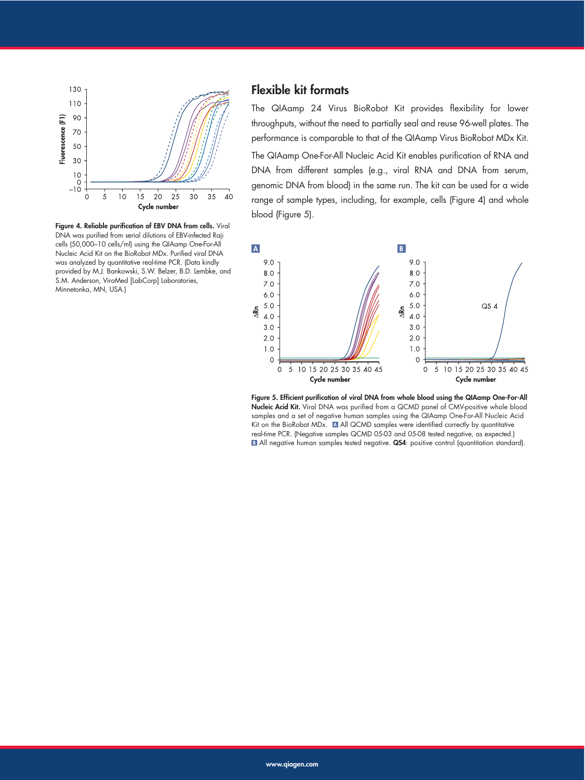

**Figure 4. Reliable purification of EBV DNA from cells.** Viral DNA was purified from serial dilutions of EBV-infected Raji cells (50,000–10 cells/ml) using the QIAamp One-For-All Nucleic Acid Kit on the BioRobot MDx. Purified viral DNA was analyzed by quantitative real-time PCR. (Data kindly provided by M.J. Bankowski, S.W. Belzer, B.D. Lembke, and S.M. Anderson, ViroMed [LabCorp] Laboratories, Minnetonka, MN, USA.)

# **Flexible kit formats**

The QIAamp 24 Virus BioRobot Kit provides flexibility for lower throughputs, without the need to partially seal and reuse 96-well plates. The performance is comparable to that of the QIAamp Virus BioRobot MDx Kit.

The QIAamp One-For-All Nucleic Acid Kit enables purification of RNA and DNA from different samples (e.g., viral RNA and DNA from serum, genomic DNA from blood) in the same run. The kit can be used for a wide range of sample types, including, for example, cells (Figure 4) and whole blood (Figure 5).



**Figure 5. Efficient purification of viral DNA from whole blood using the QIAamp One-For-All Nucleic Acid Kit.** Viral DNA was purified from a QCMD panel of CMV-positive whole blood samples and a set of negative human samples using the QIAamp One-For-All Nucleic Acid Kit on the BioRobot MDx. A All QCMD samples were identified correctly by quantitative real-time PCR. (Negative samples QCMD 05-03 and 05-08 tested negative, as expected.) **B** All negative human samples tested negative. QS4: positive control (quantitation standard).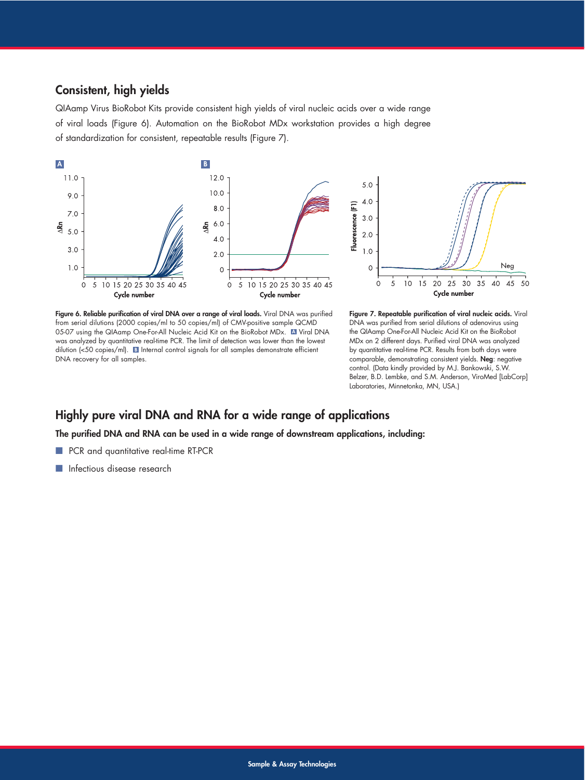# **Consistent, high yields**

QIAamp Virus BioRobot Kits provide consistent high yields of viral nucleic acids over a wide range of viral loads (Figure 6). Automation on the BioRobot MDx workstation provides a high degree of standardization for consistent, repeatable results (Figure 7).



**Figure 6. Reliable purification of viral DNA over a range of viral loads.** Viral DNA was purified from serial dilutions (2000 copies/ml to 50 copies/ml) of CMV-positive sample QCMD 05-07 using the QIAamp One-For-All Nucleic Acid Kit on the BioRobot MDx. **A** Viral DNA was analyzed by quantitative real-time PCR. The limit of detection was lower than the lowest dilution (<50 copies/ml). **B** Internal control signals for all samples demonstrate efficient DNA recovery for all samples.

**Figure 7. Repeatable purification of viral nucleic acids.** Viral DNA was purified from serial dilutions of adenovirus using the QIAamp One-For-All Nucleic Acid Kit on the BioRobot MDx on 2 different days. Purified viral DNA was analyzed by quantitative real-time PCR. Results from both days were comparable, demonstrating consistent yields. **Neg**: negative control. (Data kindly provided by M.J. Bankowski, S.W. Belzer, B.D. Lembke, and S.M. Anderson, ViroMed [LabCorp] Laboratories, Minnetonka, MN, USA.)

50

# **Highly pure viral DNA and RNA for a wide range of applications**

**The purified DNA and RNA can be used in a wide range of downstream applications, including:**

- PCR and quantitative real-time RT-PCR
- **■** Infectious disease research